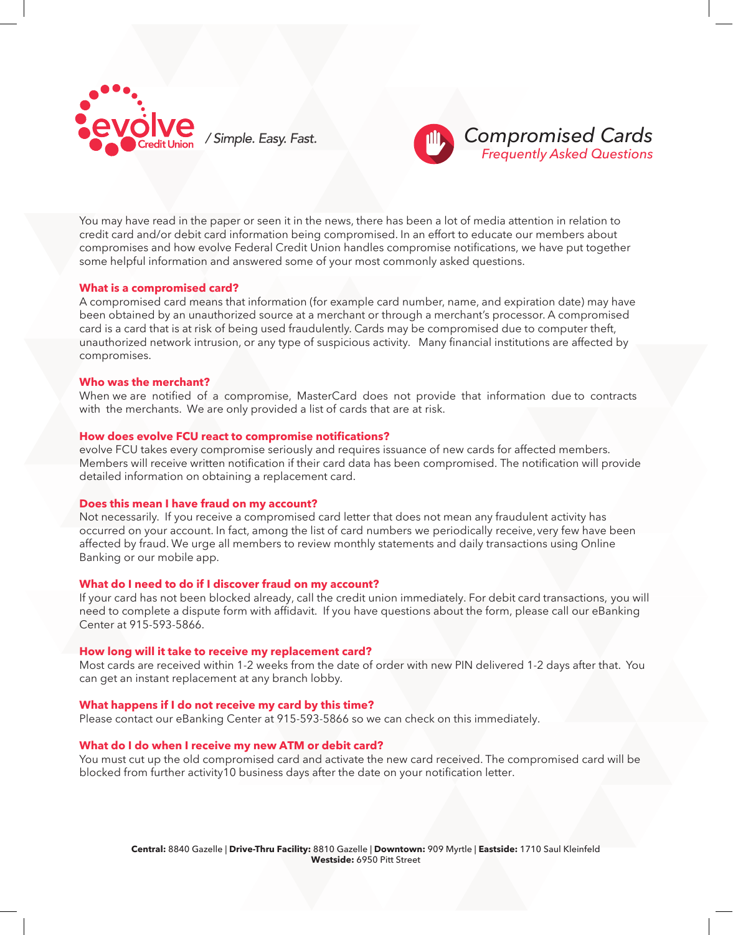



You may have read in the paper or seen it in the news, there has been a lot of media attention in relation to credit card and/or debit card information being compromised. In an effort to educate our members about compromises and how evolve Federal Credit Union handles compromise notifications, we have put together some helpful information and answered some of your most commonly asked questions.

# **What is a compromised card?**

A compromised card means that information (for example card number, name, and expiration date) may have been obtained by an unauthorized source at a merchant or through a merchant's processor. A compromised card is a card that is at risk of being used fraudulently. Cards may be compromised due to computer theft, unauthorized network intrusion, or any type of suspicious activity. Many financial institutions are affected by compromises.

### **Who was the merchant?**

When we are notified of a compromise, MasterCard does not provide that information due to contracts with the merchants. We are only provided a list of cards that are at risk.

### **How does evolve FCU react to compromise notifications?**

evolve FCU takes every compromise seriously and requires issuance of new cards for affected members. Members will receive written notification if their card data has been compromised. The notification will provide detailed information on obtaining a replacement card.

### **Does this mean I have fraud on my account?**

Not necessarily. If you receive a compromised card letter that does not mean any fraudulent activity has occurred on your account. In fact, among the list of card numbers we periodically receive, very few have been affected by fraud. We urge all members to review monthly statements and daily transactions using Online Banking or our mobile app.

# **What do I need to do if I discover fraud on my account?**

If your card has not been blocked already, call the credit union immediately. For debit card transactions, you will need to complete a dispute form with affidavit. If you have questions about the form, please call our eBanking Center at 915-593-5866.

#### **How long will it take to receive my replacement card?**

Most cards are received within 1-2 weeks from the date of order with new PIN delivered 1-2 days after that. You can get an instant replacement at any branch lobby.

# **What happens if I do not receive my card by this time?**

Please contact our eBanking Center at 915-593-5866 so we can check on this immediately.

# **What do I do when I receive my new ATM or debit card?**

You must cut up the old compromised card and activate the new card received. The compromised card will be blocked from further activity10 business days after the date on your notification letter.